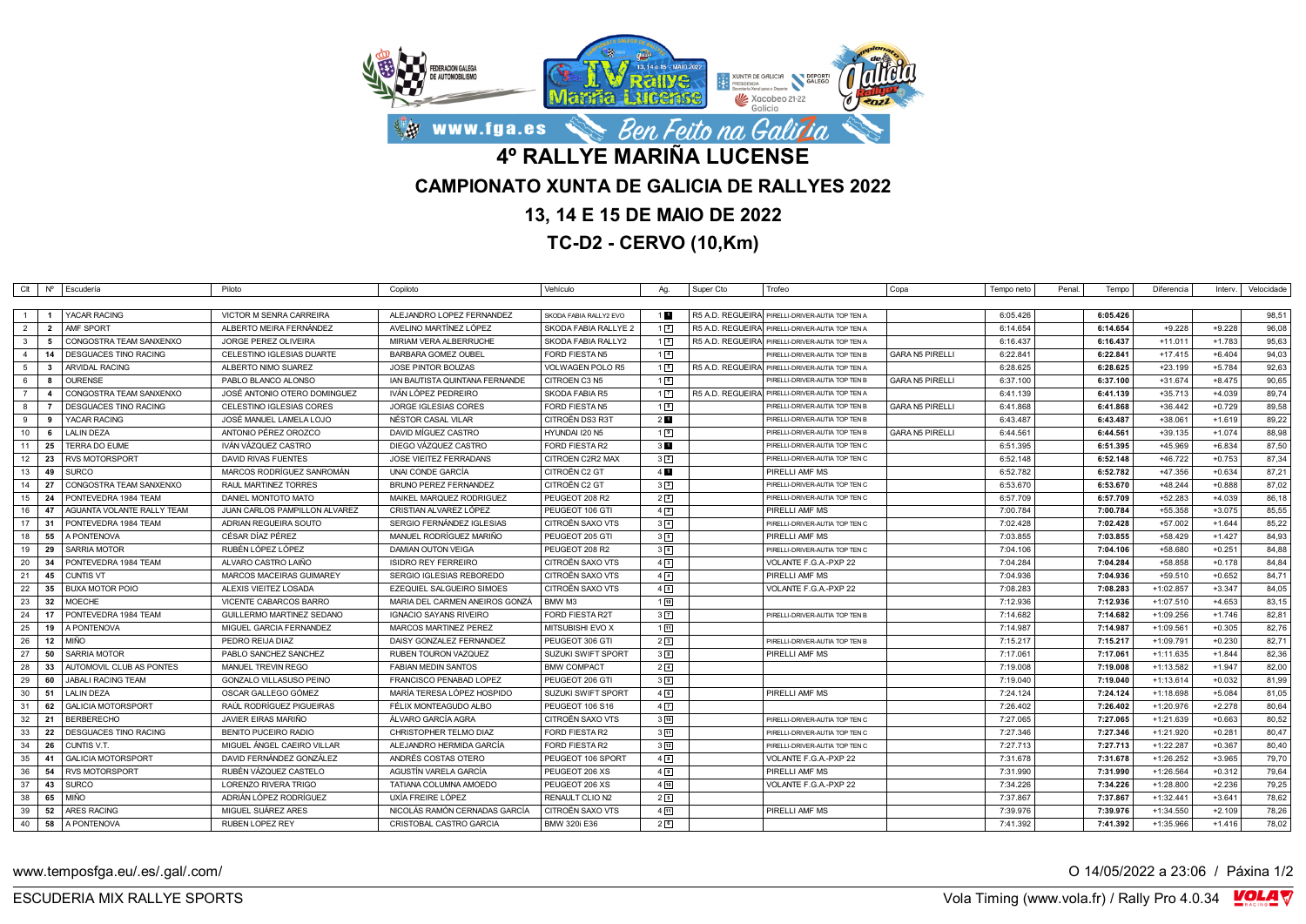

## **13, 14 E 15 DE MAIO DE 2022**

**TC-D2 - CERVO (10,Km)**

|                                    |                         | Clt   Nº   Escudería         | Piloto                        | Copiloto                       | Vehículo               | Aq.               | Super Cto | Trofeo                                          | Copa<br>Tempo neto                 | Penal. | Tempo    | Diferencia  | Interv.  | Velocidade |
|------------------------------------|-------------------------|------------------------------|-------------------------------|--------------------------------|------------------------|-------------------|-----------|-------------------------------------------------|------------------------------------|--------|----------|-------------|----------|------------|
|                                    |                         |                              |                               |                                |                        |                   |           |                                                 |                                    |        |          |             |          |            |
| $\overline{1}$<br>- 1              |                         | YACAR RACING                 | VICTOR M SENRA CARREIRA       | ALEJANDRO LOPEZ FERNANDEZ      | SKODA FABIA RALLY2 EVO | 11                |           | R5 A.D. REGUEIRA PIRELLI-DRIVER-AUTIA TOP TEN A | 6:05.426                           |        | 6:05.426 |             |          | 98.51      |
| $\overline{2}$                     | $\overline{\mathbf{2}}$ | AMF SPORT                    | ALBERTO MEIRA FERNÁNDEZ       | AVELINO MARTÍNEZ LÓPEZ         | SKODA FABIA RALLYE 2   | $1\sqrt{2}$       |           | R5 A.D. REGUEIRA PIRELLI-DRIVER-AUTIA TOP TEN A | 6:14.654                           |        | 6:14.654 | $+9.228$    | $+9.228$ | 96,08      |
| $\mathbf{3}$                       | - 5                     | CONGOSTRA TEAM SANXENXO      | <b>JORGE PEREZ OLIVEIRA</b>   | MIRIAM VERA ALBERRUCHE         | SKODA FABIA RALLY2     | $1\sqrt{3}$       |           | R5 A.D. REGUEIRA PIRELLI-DRIVER-AUTIA TOP TEN A | 6:16.437                           |        | 6:16.437 | $+11.011$   | $+1.783$ | 95,63      |
| $\overline{4}$                     | 14                      | DESGUACES TINO RACING        | CELESTINO IGLESIAS DUARTE     | <b>BARBARA GOMEZ OUBEL</b>     | <b>FORD FIESTA N5</b>  | $1\overline{4}$   |           | PIRELLI-DRIVER-AUTIA TOP TEN B                  | <b>GARA N5 PIRELLI</b><br>6:22.841 |        | 6:22.841 | $+17.415$   | $+6.404$ | 94,03      |
| 5<br>$\mathbf{3}$                  |                         | <b>ARVIDAL RACING</b>        | ALBERTO NIMO SUAREZ           | JOSE PINTOR BOUZAS             | VOLWAGEN POLO R5       | 15                |           | R5 A.D. REGUEIRA PIRELLI-DRIVER-AUTIA TOP TEN A | 6:28.625                           |        | 6:28.625 | $+23.199$   | $+5.784$ | 92,63      |
| 6<br>8                             |                         | <b>OURENSE</b>               | PABLO BLANCO ALONSO           | IAN BAUTISTA QUINTANA FERNANDE | CITROEN C3 N5          | 16                |           | PIRELLI-DRIVER-AUTIA TOP TEN B                  | <b>GARA N5 PIRELLI</b><br>6:37.100 |        | 6:37.100 | $+31.674$   | $+8.475$ | 90,65      |
| $\overline{7}$<br>$\boldsymbol{A}$ |                         | CONGOSTRA TEAM SANXENXO      | JOSÉ ANTONIO OTERO DOMINGUEZ  | IVÁN LÓPEZ PEDREIRO            | SKODA FABIA R5         | $1\overline{2}$   |           | R5 A.D. REGUEIRA PIRELLI-DRIVER-AUTIA TOP TEN A | 6:41.139                           |        | 6:41.139 | $+35.713$   | $+4.039$ | 89,74      |
| 8                                  |                         | <b>DESGUACES TINO RACING</b> | CELESTINO IGLESIAS CORES      | JORGE IGLESIAS CORES           | <b>FORD FIESTA N5</b>  | 1 <sub>8</sub>    |           | PIRELLI-DRIVER-AUTIA TOP TEN B                  | <b>GARA N5 PIRELLI</b><br>6:41.868 |        | 6:41.868 | $+36.442$   | $+0.729$ | 89,58      |
| 9<br>9                             |                         | YACAR RACING                 | JOSÉ MANUEL LAMELA LOJO       | NÉSTOR CASAL VILAR             | CITROËN DS3 R3T        | 2 <sub>u</sub>    |           | PIRELLI-DRIVER-AUTIA TOP TEN B                  | 6:43.487                           |        | 6:43.487 | $+38.061$   | $+1.619$ | 89,22      |
| 10                                 | 6                       | LALIN DEZA                   | ANTONIO PÉREZ OROZCO          | DAVID MIGUEZ CASTRO            | HYUNDAI I20 N5         | 1 <sup>9</sup>    |           | PIRELLI-DRIVER-AUTIA TOP TEN B                  | 6:44.561<br><b>GARA N5 PIRELLI</b> |        | 6:44.561 | $+39.135$   | $+1.074$ | 88,98      |
| 11<br>25                           |                         | TERRA DO EUME                | IVÁN VÁZQUEZ CASTRO           | DIEGO VÁZQUEZ CASTRO           | <b>FORD FIESTA R2</b>  | 3 <sub>1</sub>    |           | PIRELLI-DRIVER-AUTIA TOP TEN C                  | 6:51.395                           |        | 6:51.395 | +45.969     | $+6.834$ | 87,50      |
| 12<br>23                           |                         | <b>RVS MOTORSPORT</b>        | <b>DAVID RIVAS FUENTES</b>    | JOSE VIEITEZ FERRADANS         | CITROEN C2R2 MAX       | $3\sqrt{2}$       |           | PIRELLI-DRIVER-AUTIA TOP TEN C                  | 6:52.148                           |        | 6:52.148 | $+46.722$   | $+0.753$ | 87,34      |
| 13                                 | 49                      | <b>SURCO</b>                 | MARCOS RODRÍGUEZ SANROMÁN     | UNAI CONDE GARCÍA              | CITROËN C2 GT          | $4 \mathbf{u}$    |           | PIRELLI AMF MS                                  | 6:52.782                           |        | 6:52.782 | +47.356     | $+0.634$ | 87,21      |
| 14<br>- 27                         |                         | CONGOSTRA TEAM SANXENXO      | RAUL MARTINEZ TORRES          | <b>BRUNO PEREZ FERNANDEZ</b>   | CITROËN C2 GT          | 3 <sup>3</sup>    |           | PIRELLI-DRIVER-AUTIA TOP TEN C                  | 6:53.670                           |        | 6:53.670 | $+48.244$   | $+0.888$ | 87,02      |
| 15<br>24                           |                         | PONTEVEDRA 1984 TEAM         | DANIEL MONTOTO MATO           | MAIKEL MARQUEZ RODRIGUEZ       | PEUGEOT 208 R2         | $2\sqrt{2}$       |           | PIRELLI-DRIVER-AUTIA TOP TEN C                  | 6:57.709                           |        | 6:57.709 | $+52.283$   | $+4.039$ | 86,18      |
| 16<br>47                           |                         | AGUANTA VOLANTE RALLY TEAM   | JUAN CARLOS PAMPILLON ALVAREZ | CRISTIAN ALVAREZ LÓPEZ         | PEUGEOT 106 GTI        | 4 <sup>2</sup>    |           | PIRELLI AMF MS                                  | 7:00.784                           |        | 7:00.784 | $+55.358$   | $+3.075$ | 85,55      |
| 17<br>- 31                         |                         | PONTEVEDRA 1984 TEAM         | ADRIAN REGUEIRA SOUTO         | SERGIO FERNANDEZ IGLESIAS      | CITROËN SAXO VTS       | $3\sqrt{4}$       |           | PIRELLI-DRIVER-AUTIA TOP TEN C                  | 7:02.428                           |        | 7:02.428 | $+57.002$   | $+1.644$ | 85,22      |
| 18                                 | 55                      | A PONTENOVA                  | CÉSAR DÍAZ PÉREZ              | MANUEL RODRÍGUEZ MARIÑO        | PEUGEOT 205 GTI        | 35                |           | PIRELLI AMF MS                                  | 7:03.855                           |        | 7:03.855 | $+58.429$   | $+1.427$ | 84,93      |
| 19<br>29                           |                         | <b>SARRIA MOTOR</b>          | RUBÉN LÓPEZ LÓPEZ             | <b>DAMIAN OUTON VEIGA</b>      | PEUGEOT 208 R2         | 36                |           | PIRELLI-DRIVER-AUTIA TOP TEN C                  | 7:04.106                           |        | 7:04.106 | +58.680     | $+0.251$ | 84,88      |
| 20<br>34                           |                         | PONTEVEDRA 1984 TEAM         | ALVARO CASTRO LAIÑO           | <b>ISIDRO REY FERREIRO</b>     | CITROËN SAXO VTS       | $4\sqrt{3}$       |           | VOLANTE F.G.A.-PXP 22                           | 7:04.284                           |        | 7:04.284 | +58.858     | $+0.178$ | 84,84      |
| 21                                 | 45                      | <b>CUNTIS VT</b>             | MARCOS MACEIRAS GUIMAREY      | SERGIO IGLESIAS REBOREDO       | CITROËN SAXO VTS       | $4\sqrt{4}$       |           | PIRELLI AMF MS                                  | 7:04.936                           |        | 7:04.936 | $+59.510$   | $+0.652$ | 84,71      |
| 22                                 | 35                      | <b>BUXA MOTOR POIO</b>       | ALEXIS VIEITEZ LOSADA         | EZEQUIEL SALGUEIRO SIMOES      | CITROËN SAXO VTS       | 45                |           | VOLANTE F.G.A.-PXP 22                           | 7:08.283                           |        | 7:08.283 | $+1:02.857$ | $+3.347$ | 84,05      |
| 23<br>32                           |                         | <b>MOECHE</b>                | VICENTE CABARCOS BARRO        | MARIA DEL CARMEN ANEIROS GONZÁ | BMW M3                 | 110               |           |                                                 | 7:12.936                           |        | 7:12.936 | $+1:07.510$ | $+4.653$ | 83,15      |
| 24<br>17                           |                         | PONTEVEDRA 1984 TEAM         | GUILLERMO MARTINEZ SEDANO     | <b>IGNACIO SAYANS RIVEIRO</b>  | FORD FIESTA R2T        | $3\sqrt{7}$       |           | PIRELLI-DRIVER-AUTIA TOP TEN B                  | 7:14.682                           |        | 7:14.682 | $+1:09.256$ | $+1.746$ | 82,81      |
| 25                                 | 19                      | A PONTENOVA                  | MIGUEL GARCIA FERNANDEZ       | MARCOS MARTINEZ PEREZ          | MITSUBISHI EVO X       | 111               |           |                                                 | 7:14.987                           |        | 7:14.987 | $+1:09.561$ | $+0.305$ | 82,76      |
| 26                                 | 12                      | <b>MIÑO</b>                  | PEDRO REIJA DIAZ              | DAISY GONZALEZ FERNANDEZ       | PEUGEOT 306 GTI        | 2 <sup>3</sup>    |           | PIRELLI-DRIVER-AUTIA TOP TEN B                  | 7:15.217                           |        | 7:15.217 | $+1:09.791$ | $+0.230$ | 82,71      |
| 27                                 | 50                      | <b>SARRIA MOTOR</b>          | PABLO SANCHEZ SANCHEZ         | RUBEN TOURON VAZQUEZ           | SUZUKI SWIFT SPORT     | $3^{8}$           |           | PIRELLI AMF MS                                  | 7:17.061                           |        | 7:17.061 | $+1:11.635$ | $+1.844$ | 82,36      |
| 28<br>- 33                         |                         | AUTOMOVIL CLUB AS PONTES     | MANUEL TREVIN REGO            | <b>FABIAN MEDIN SANTOS</b>     | <b>BMW COMPACT</b>     | $2\sqrt{4}$       |           |                                                 | 7:19.008                           |        | 7:19.008 | $+1:13.582$ | $+1.947$ | 82,00      |
| 29<br>60                           |                         | <b>JABALI RACING TEAM</b>    | GONZALO VILLASUSO PEINO       | FRANCISCO PENABAD LOPEZ        | PEUGEOT 206 GTI        | 3 <sup>9</sup>    |           |                                                 | 7:19.040                           |        | 7:19.040 | $+1:13.614$ | $+0.032$ | 81,99      |
| 30<br>51                           |                         | <b>LALIN DEZA</b>            | OSCAR GALLEGO GÓMEZ           | MARÍA TERESA LÓPEZ HOSPIDO     | SUZUKI SWIFT SPORT     | $4\sqrt{6}$       |           | PIRELLI AMF MS                                  | 7:24.124                           |        | 7:24.124 | $+1:18.698$ | $+5.084$ | 81,05      |
| 31<br>62                           |                         | <b>GALICIA MOTORSPORT</b>    | RAÚL RODRÍGUEZ PIGUEIRAS      | FÉLIX MONTEAGUDO ALBO          | PEUGEOT 106 S16        | 4 <sup>7</sup>    |           |                                                 | 7:26.402                           |        | 7:26.402 | $+1:20.976$ | $+2.278$ | 80,64      |
| 32<br>- 21                         |                         | <b>BERBERECHO</b>            | JAVIER EIRAS MARIÑO           | ÁLVARO GARCÍA AGRA             | CITROËN SAXO VTS       | $3\sqrt{10}$      |           | PIRELLI-DRIVER-AUTIA TOP TEN C                  | 7:27.065                           |        | 7:27.065 | $+1:21.639$ | $+0.663$ | 80,52      |
| 33<br>22                           |                         | DESGUACES TINO RACING        | <b>BENITO PUCEIRO RADIO</b>   | CHRISTOPHER TELMO DIAZ         | FORD FIESTA R2         | 3 <sup>[11]</sup> |           | PIRELLI-DRIVER-AUTIA TOP TEN C                  | 7:27.346                           |        | 7:27.346 | $+1:21.920$ | $+0.281$ | 80,47      |
| 34<br>-26                          |                         | CUNTIS V.T.                  | MIGUEL ÁNGEL CAEIRO VILLAR    | ALEJANDRO HERMIDA GARCÍA       | FORD FIESTA R2         | $3\sqrt{12}$      |           | PIRELLI-DRIVER-AUTIA TOP TEN C                  | 7:27.713                           |        | 7:27.713 | $+1:22.287$ | $+0.367$ | 80,40      |
| 35<br>41                           |                         | <b>GALICIA MOTORSPORT</b>    | DAVID FERNÁNDEZ GONZÁLEZ      | ANDRÉS COSTAS OTERO            | PEUGEOT 106 SPORT      | 4 <sup>8</sup>    |           | VOLANTE F.G.A.-PXP 22                           | 7:31.678                           |        | 7:31.678 | $+1:26.252$ | $+3.965$ | 79,70      |
| 36                                 | 54                      | <b>RVS MOTORSPORT</b>        | RUBÉN VÁZQUEZ CASTELO         | AGUSTÍN VARELA GARCÍA          | PEUGEOT 206 XS         | $4\sqrt{9}$       |           | PIRELLI AMF MS                                  | 7:31.990                           |        | 7:31.990 | $+1:26.564$ | $+0.312$ | 79,64      |
| 37                                 | 43                      | <b>SURCO</b>                 | <b>LORENZO RIVERA TRIGO</b>   | TATIANA COLUMNA AMOEDO         | PEUGEOT 206 XS         | $4\sqrt{10}$      |           | VOLANTE F.G.A.-PXP 22                           | 7:34.226                           |        | 7:34.226 | $+1:28.800$ | $+2.236$ | 79,25      |
| 38                                 | 65                      | <b>MIÑO</b>                  | ADRIÁN LÓPEZ RODRÍGUEZ        | UXÍA FREIRE LÓPEZ              | RENAULT CLIO N2        | 25                |           |                                                 | 7:37.867                           |        | 7:37.867 | $+1:32.441$ | $+3.641$ | 78,62      |
| 39                                 | 52                      | ARES RACING                  | MIGUEL SUÁREZ ARES            | NICOLÁS RAMÓN CERNADAS GARCÍA  | CITROËN SAXO VTS       | 4[11]             |           | PIRELLI AMF MS                                  | 7:39.976                           |        | 7:39.976 | $+1:34.550$ | $+2.109$ | 78,26      |
| 40<br>58                           |                         | A PONTENOVA                  | <b>RUBEN LOPEZ REY</b>        | CRISTOBAL CASTRO GARCIA        | BMW 320i E36           | 2 <sup>6</sup>    |           |                                                 | 7:41.392                           |        | 7:41.392 | $+1:35.966$ | $+1.416$ | 78,02      |

www.temposfga.eu/.es/.gal/.com/ **O 14/05/2022** a 23:06 / Páxina 1/2